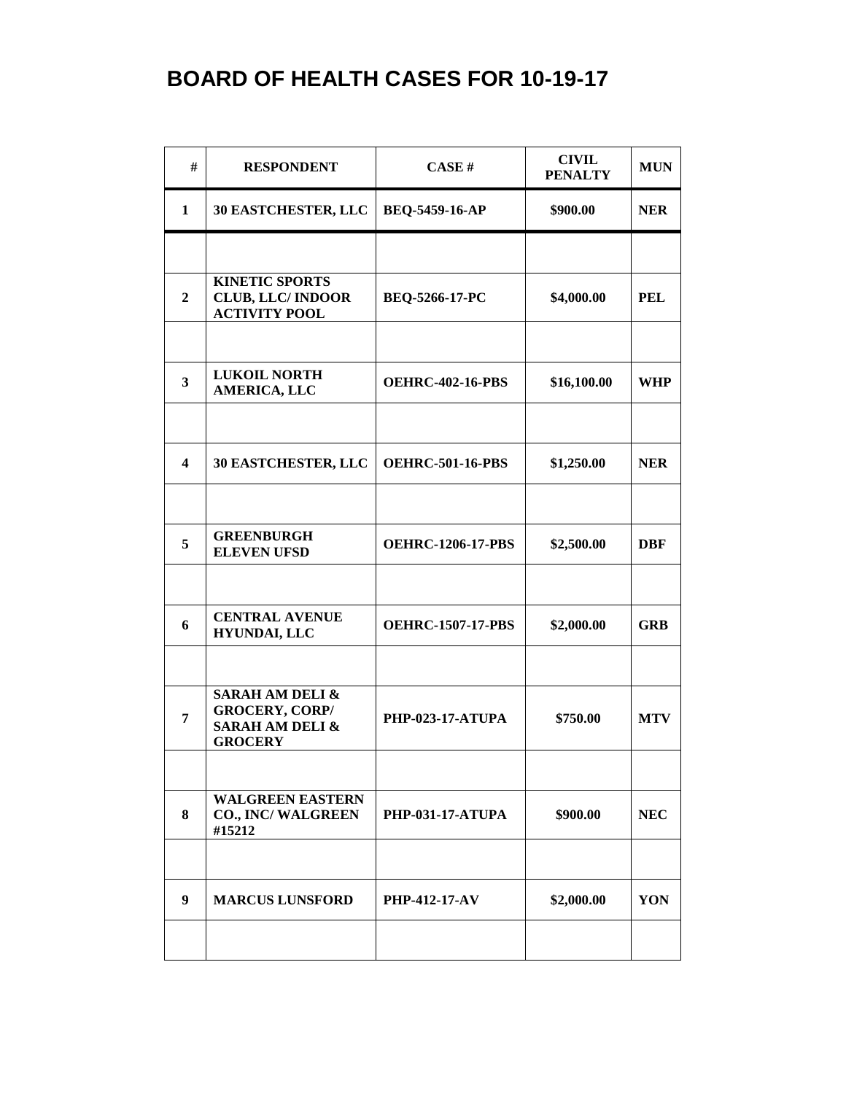## **BOARD OF HEALTH CASES FOR 10-19-17**

| #                       | <b>RESPONDENT</b>                                                                                   | CASE#                    | <b>CIVIL</b><br><b>PENALTY</b> | <b>MUN</b> |
|-------------------------|-----------------------------------------------------------------------------------------------------|--------------------------|--------------------------------|------------|
| $\mathbf{1}$            | 30 EASTCHESTER, LLC                                                                                 | <b>BEQ-5459-16-AP</b>    | \$900.00                       | <b>NER</b> |
|                         |                                                                                                     |                          |                                |            |
| $\overline{2}$          | <b>KINETIC SPORTS</b><br><b>CLUB, LLC/INDOOR</b><br><b>ACTIVITY POOL</b>                            | BEQ-5266-17-PC           | \$4,000.00                     | <b>PEL</b> |
|                         |                                                                                                     |                          |                                |            |
| $\overline{\mathbf{3}}$ | <b>LUKOIL NORTH</b><br>AMERICA, LLC                                                                 | <b>OEHRC-402-16-PBS</b>  | \$16,100.00                    | <b>WHP</b> |
|                         |                                                                                                     |                          |                                |            |
| $\overline{\mathbf{4}}$ | 30 EASTCHESTER, LLC                                                                                 | <b>OEHRC-501-16-PBS</b>  | \$1,250.00                     | <b>NER</b> |
|                         |                                                                                                     |                          |                                |            |
| 5                       | <b>GREENBURGH</b><br><b>ELEVEN UFSD</b>                                                             | <b>OEHRC-1206-17-PBS</b> | \$2,500.00                     | <b>DBF</b> |
|                         |                                                                                                     |                          |                                |            |
| 6                       | <b>CENTRAL AVENUE</b><br><b>HYUNDAI, LLC</b>                                                        | <b>OEHRC-1507-17-PBS</b> | \$2,000.00                     | <b>GRB</b> |
|                         |                                                                                                     |                          |                                |            |
| $\overline{7}$          | <b>SARAH AM DELI &amp;</b><br><b>GROCERY, CORP/</b><br><b>SARAH AM DELI &amp;</b><br><b>GROCERY</b> | <b>PHP-023-17-ATUPA</b>  | \$750.00                       | <b>MTV</b> |
|                         |                                                                                                     |                          |                                |            |
| 8                       | <b>WALGREEN EASTERN</b><br><b>CO., INC/ WALGREEN</b><br>#15212                                      | <b>PHP-031-17-ATUPA</b>  | \$900.00                       | <b>NEC</b> |
|                         |                                                                                                     |                          |                                |            |
| 9                       | <b>MARCUS LUNSFORD</b>                                                                              | <b>PHP-412-17-AV</b>     | \$2,000.00                     | YON        |
|                         |                                                                                                     |                          |                                |            |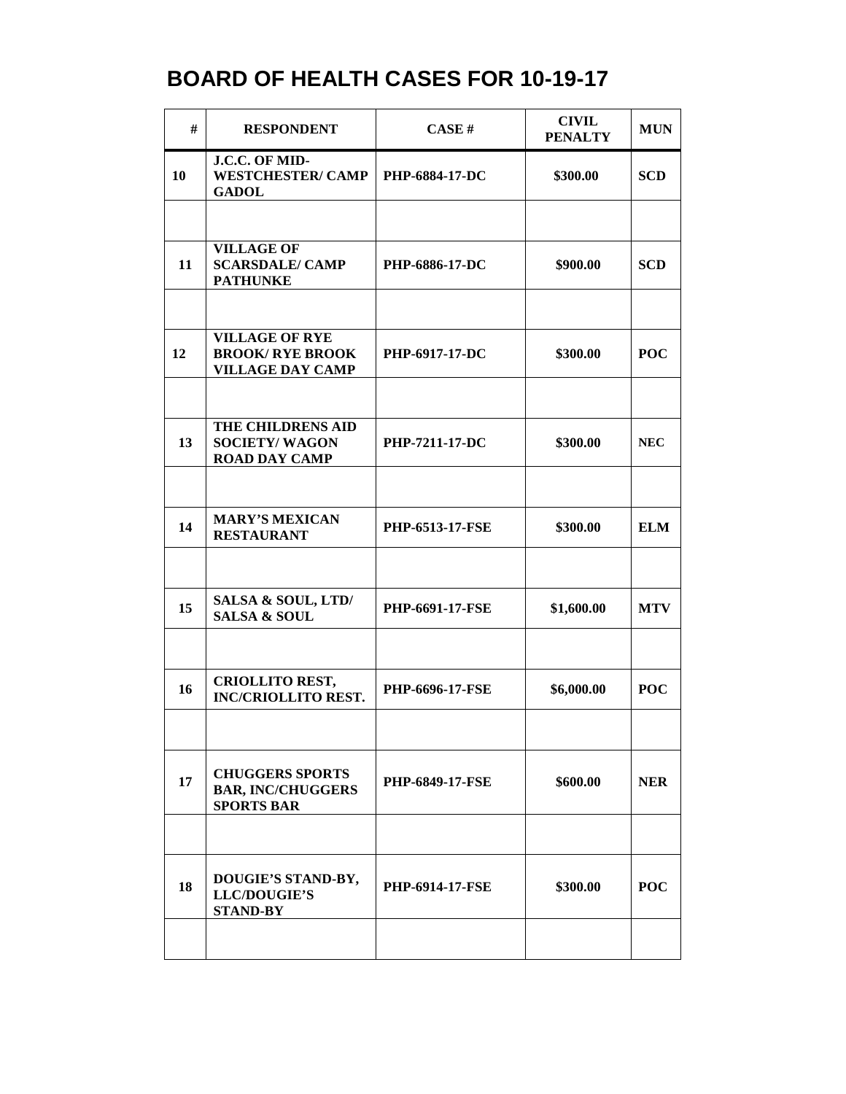## **BOARD OF HEALTH CASES FOR 10-19-17**

| #  | <b>RESPONDENT</b>                                                          | CASE H                 | <b>CIVIL</b><br><b>PENALTY</b> | <b>MUN</b> |
|----|----------------------------------------------------------------------------|------------------------|--------------------------------|------------|
| 10 | J.C.C. OF MID-<br><b>WESTCHESTER/CAMP</b><br><b>GADOL</b>                  | <b>PHP-6884-17-DC</b>  | \$300.00                       | <b>SCD</b> |
|    |                                                                            |                        |                                |            |
| 11 | <b>VILLAGE OF</b><br><b>SCARSDALE/ CAMP</b><br><b>PATHUNKE</b>             | PHP-6886-17-DC         | \$900.00                       | <b>SCD</b> |
|    |                                                                            |                        |                                |            |
| 12 | <b>VILLAGE OF RYE</b><br><b>BROOK/RYE BROOK</b><br><b>VILLAGE DAY CAMP</b> | <b>PHP-6917-17-DC</b>  | \$300.00                       | <b>POC</b> |
|    |                                                                            |                        |                                |            |
| 13 | THE CHILDRENS AID<br><b>SOCIETY/WAGON</b><br><b>ROAD DAY CAMP</b>          | PHP-7211-17-DC         | \$300.00                       | <b>NEC</b> |
|    |                                                                            |                        |                                |            |
| 14 | <b>MARY'S MEXICAN</b><br><b>RESTAURANT</b>                                 | <b>PHP-6513-17-FSE</b> | \$300.00                       | <b>ELM</b> |
|    |                                                                            |                        |                                |            |
| 15 | SALSA & SOUL, LTD/<br><b>SALSA &amp; SOUL</b>                              | <b>PHP-6691-17-FSE</b> | \$1,600.00                     | <b>MTV</b> |
|    |                                                                            |                        |                                |            |
| 16 | <b>CRIOLLITO REST,</b><br><b>INC/CRIOLLITO REST.</b>                       | PHP-6696-17-FSE        | \$6,000.00                     | <b>POC</b> |
|    |                                                                            |                        |                                |            |
| 17 | <b>CHUGGERS SPORTS</b><br><b>BAR, INC/CHUGGERS</b><br><b>SPORTS BAR</b>    | <b>PHP-6849-17-FSE</b> | \$600.00                       | <b>NER</b> |
|    |                                                                            |                        |                                |            |
| 18 | DOUGIE'S STAND-BY,<br><b>LLC/DOUGIE'S</b><br><b>STAND-BY</b>               | <b>PHP-6914-17-FSE</b> | \$300.00                       | <b>POC</b> |
|    |                                                                            |                        |                                |            |